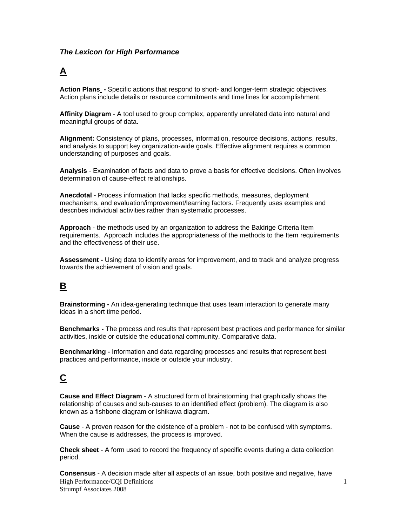#### *The Lexicon for High Performance*

### **A**

**Action Plans -** Specific actions that respond to short- and longer-term strategic objectives. Action plans include details or resource commitments and time lines for accomplishment.

**Affinity Diagram** - A tool used to group complex, apparently unrelated data into natural and meaningful groups of data.

**Alignment:** Consistency of plans, processes, information, resource decisions, actions, results, and analysis to support key organization-wide goals. Effective alignment requires a common understanding of purposes and goals.

**Analysis** - Examination of facts and data to prove a basis for effective decisions. Often involves determination of cause-effect relationships.

**Anecdotal** - Process information that lacks specific methods, measures, deployment mechanisms, and evaluation/improvement/learning factors. Frequently uses examples and describes individual activities rather than systematic processes.

**Approach** - the methods used by an organization to address the Baldrige Criteria Item requirements. Approach includes the appropriateness of the methods to the Item requirements and the effectiveness of their use.

**Assessment -** Using data to identify areas for improvement, and to track and analyze progress towards the achievement of vision and goals.

# **B**

**Brainstorming -** An idea-generating technique that uses team interaction to generate many ideas in a short time period.

**Benchmarks -** The process and results that represent best practices and performance for similar activities, inside or outside the educational community. Comparative data.

**Benchmarking -** Information and data regarding processes and results that represent best practices and performance, inside or outside your industry.

## **C**

**Cause and Effect Diagram** - A structured form of brainstorming that graphically shows the relationship of causes and sub-causes to an identified effect (problem). The diagram is also known as a fishbone diagram or Ishikawa diagram.

**Cause** - A proven reason for the existence of a problem - not to be confused with symptoms. When the cause is addresses, the process is improved.

**Check sheet** - A form used to record the frequency of specific events during a data collection period.

High Performance/CQI Definitions Strumpf Associates 2008 **Consensus** - A decision made after all aspects of an issue, both positive and negative, have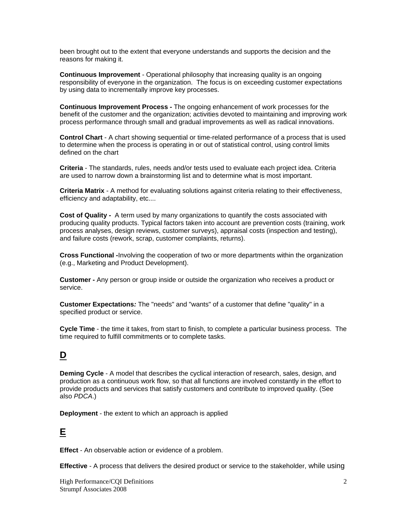been brought out to the extent that everyone understands and supports the decision and the reasons for making it.

**Continuous Improvement** - Operational philosophy that increasing quality is an ongoing responsibility of everyone in the organization. The focus is on exceeding customer expectations by using data to incrementally improve key processes.

**Continuous Improvement Process** *-* The ongoing enhancement of work processes for the benefit of the customer and the organization; activities devoted to maintaining and improving work process performance through small and gradual improvements as well as radical innovations.

**Control Chart** - A chart showing sequential or time-related performance of a process that is used to determine when the process is operating in or out of statistical control, using control limits defined on the chart

**Criteria** - The standards, rules, needs and/or tests used to evaluate each project idea. Criteria are used to narrow down a brainstorming list and to determine what is most important.

**Criteria Matrix** - A method for evaluating solutions against criteria relating to their effectiveness, efficiency and adaptability, etc....

**Cost of Quality** *-* A term used by many organizations to quantify the costs associated with producing quality products. Typical factors taken into account are prevention costs (training, work process analyses, design reviews, customer surveys), appraisal costs (inspection and testing), and failure costs (rework, scrap, customer complaints, returns).

**Cross Functional** *-*Involving the cooperation of two or more departments within the organization (e.g., Marketing and Product Development).

**Customer -** Any person or group inside or outside the organization who receives a product or service.

**Customer Expectations***:* The "needs" and "wants" of a customer that define "quality" in a specified product or service.

**Cycle Time** - the time it takes, from start to finish, to complete a particular business process. The time required to fulfill commitments or to complete tasks.

#### **D**

**Deming Cycle** - A model that describes the cyclical interaction of research, sales, design, and production as a continuous work flow, so that all functions are involved constantly in the effort to provide products and services that satisfy customers and contribute to improved quality. (See also *PDCA*.)

**Deployment** - the extent to which an approach is applied

#### **E**

**Effect** - An observable action or evidence of a problem.

**Effective** - A process that delivers the desired product or service to the stakeholder, while using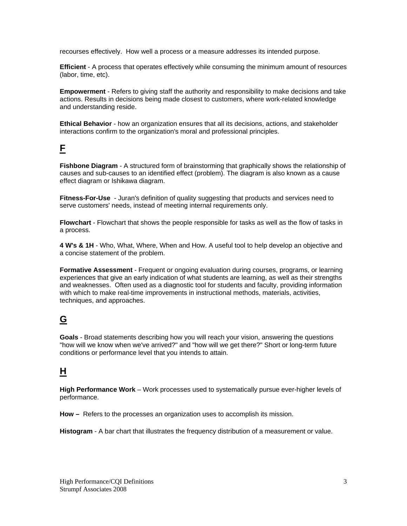recourses effectively. How well a process or a measure addresses its intended purpose.

**Efficient** - A process that operates effectively while consuming the minimum amount of resources (labor, time, etc).

**Empowerment** - Refers to giving staff the authority and responsibility to make decisions and take actions. Results in decisions being made closest to customers, where work-related knowledge and understanding reside.

**Ethical Behavior** - how an organization ensures that all its decisions, actions, and stakeholder interactions confirm to the organization's moral and professional principles.

#### **F**

**Fishbone Diagram** - A structured form of brainstorming that graphically shows the relationship of causes and sub-causes to an identified effect (problem). The diagram is also known as a cause effect diagram or Ishikawa diagram.

**Fitness-For-Use** - Juran's definition of quality suggesting that products and services need to serve customers' needs, instead of meeting internal requirements only.

**Flowchart** - Flowchart that shows the people responsible for tasks as well as the flow of tasks in a process.

**4 W's & 1H** - Who, What, Where, When and How. A useful tool to help develop an objective and a concise statement of the problem.

**Formative Assessment** - Frequent or ongoing evaluation during courses, programs, or learning experiences that give an early indication of what students are learning, as well as their strengths and weaknesses. Often used as a diagnostic tool for students and faculty, providing information with which to make real-time improvements in instructional methods, materials, activities, techniques, and approaches.

# **G**

**Goals** - Broad statements describing how you will reach your vision, answering the questions "how will we know when we've arrived?" and "how will we get there?" Short or long-term future conditions or performance level that you intends to attain.

# **H**

**High Performance Work** – Work processes used to systematically pursue ever-higher levels of performance.

**How –** Refers to the processes an organization uses to accomplish its mission.

**Histogram** - A bar chart that illustrates the frequency distribution of a measurement or value.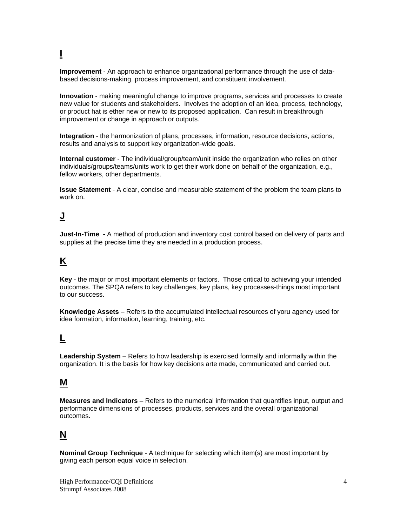# **I**

**Improvement** - An approach to enhance organizational performance through the use of databased decisions-making, process improvement, and constituent involvement.

**Innovation** - making meaningful change to improve programs, services and processes to create new value for students and stakeholders. Involves the adoption of an idea, process, technology, or product hat is ether new or new to its proposed application. Can result in breakthrough improvement or change in approach or outputs.

**Integration** - the harmonization of plans, processes, information, resource decisions, actions, results and analysis to support key organization-wide goals.

**Internal customer** - The individual/group/team/unit inside the organization who relies on other individuals/groups/teams/units work to get their work done on behalf of the organization, e.g., fellow workers, other departments.

**Issue Statement** - A clear, concise and measurable statement of the problem the team plans to work on.

# **J**

**Just-In-Time -** A method of production and inventory cost control based on delivery of parts and supplies at the precise time they are needed in a production process.

### **K**

**Key** - the major or most important elements or factors. Those critical to achieving your intended outcomes. The SPQA refers to key challenges, key plans, key processes-things most important to our success.

**Knowledge Assets** – Refers to the accumulated intellectual resources of yoru agency used for idea formation, information, learning, training, etc.

# **L**

**Leadership System** – Refers to how leadership is exercised formally and informally within the organization. It is the basis for how key decisions arte made, communicated and carried out.

#### **M**

**Measures and Indicators** – Refers to the numerical information that quantifies input, output and performance dimensions of processes, products, services and the overall organizational outcomes.

#### **N**

**Nominal Group Technique** - A technique for selecting which item(s) are most important by giving each person equal voice in selection.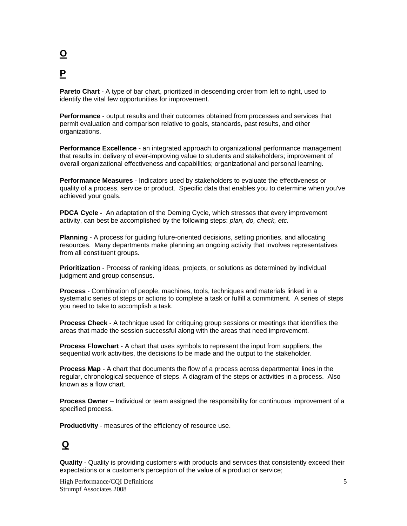# **O P**

**Pareto Chart** - A type of bar chart, prioritized in descending order from left to right, used to identify the vital few opportunities for improvement.

**Performance** - output results and their outcomes obtained from processes and services that permit evaluation and comparison relative to goals, standards, past results, and other organizations.

**Performance Excellence** - an integrated approach to organizational performance management that results in: delivery of ever-improving value to students and stakeholders; improvement of overall organizational effectiveness and capabilities; organizational and personal learning.

**Performance Measures** - Indicators used by stakeholders to evaluate the effectiveness or quality of a process, service or product. Specific data that enables you to determine when you've achieved your goals.

**PDCA Cycle** *-* An adaptation of the Deming Cycle, which stresses that every improvement activity, can best be accomplished by the following steps: *plan, do, check, etc.*

**Planning** - A process for guiding future-oriented decisions, setting priorities, and allocating resources. Many departments make planning an ongoing activity that involves representatives from all constituent groups.

**Prioritization** - Process of ranking ideas, projects, or solutions as determined by individual judgment and group consensus.

**Process** - Combination of people, machines, tools, techniques and materials linked in a systematic series of steps or actions to complete a task or fulfill a commitment. A series of steps you need to take to accomplish a task.

**Process Check** - A technique used for critiquing group sessions or meetings that identifies the areas that made the session successful along with the areas that need improvement.

**Process Flowchart** - A chart that uses symbols to represent the input from suppliers, the sequential work activities, the decisions to be made and the output to the stakeholder.

**Process Map** - A chart that documents the flow of a process across departmental lines in the regular, chronological sequence of steps. A diagram of the steps or activities in a process. Also known as a flow chart.

**Process Owner** – Individual or team assigned the responsibility for continuous improvement of a specified process.

**Productivity** - measures of the efficiency of resource use.

#### **Q**

**Quality** - Quality is providing customers with products and services that consistently exceed their expectations or a customer's perception of the value of a product or service;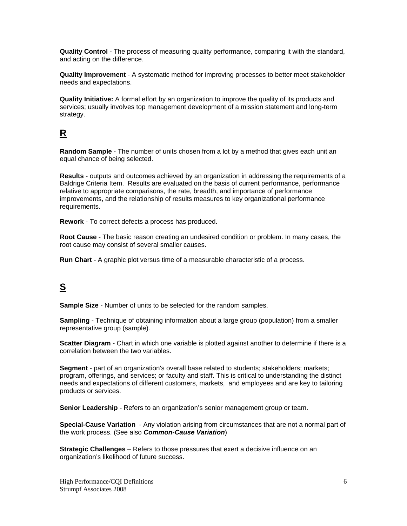**Quality Control** - The process of measuring quality performance, comparing it with the standard, and acting on the difference.

**Quality Improvement** - A systematic method for improving processes to better meet stakeholder needs and expectations.

**Quality Initiative:** A formal effort by an organization to improve the quality of its products and services; usually involves top management development of a mission statement and long-term strategy.

# **R**

**Random Sample** - The number of units chosen from a lot by a method that gives each unit an equal chance of being selected.

**Results** - outputs and outcomes achieved by an organization in addressing the requirements of a Baldrige Criteria Item. Results are evaluated on the basis of current performance, performance relative to appropriate comparisons, the rate, breadth, and importance of performance improvements, and the relationship of results measures to key organizational performance requirements.

**Rework** - To correct defects a process has produced.

**Root Cause** - The basic reason creating an undesired condition or problem. In many cases, the root cause may consist of several smaller causes.

**Run Chart** - A graphic plot versus time of a measurable characteristic of a process.

# **S**

**Sample Size** - Number of units to be selected for the random samples.

**Sampling** - Technique of obtaining information about a large group (population) from a smaller representative group (sample).

**Scatter Diagram** - Chart in which one variable is plotted against another to determine if there is a correlation between the two variables.

**Segment** - part of an organization's overall base related to students; stakeholders; markets; program, offerings, and services; or faculty and staff. This is critical to understanding the distinct needs and expectations of different customers, markets, and employees and are key to tailoring products or services.

**Senior Leadership** - Refers to an organization's senior management group or team.

**Special-Cause Variation** - Any violation arising from circumstances that are not a normal part of the work process. (See also *Common-Cause Variation*)

**Strategic Challenges** – Refers to those pressures that exert a decisive influence on an organization's likelihood of future success.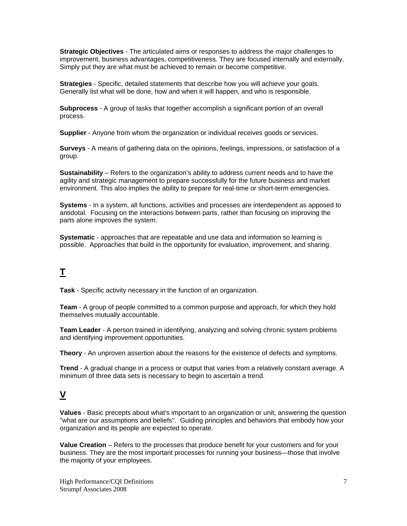**Strategic Objectives** - The articulated aims or responses to address the major challenges to improvement, business advantages, competitiveness. They are focused internally and externally. Simply put they are what must be achieved to remain or become competitive.

**Strategies** - Specific, detailed statements that describe how you will achieve your goals. Generally list what will be done, how and when it will happen, and who is responsible.

**Subprocess** - A group of tasks that together accomplish a significant portion of an overall process.

**Supplier** - Anyone from whom the organization or individual receives goods or services.

**Surveys** - A means of gathering data on the opinions, feelings, impressions, or satisfaction of a group.

**Sustainability** – Refers to the organization's ability to address current needs and to have the agility and strategic management to prepare successfully for the future business and market environment. This also implies the ability to prepare for real-time or short-term emergencies.

**Systems** - In a system, all functions, activities and processes are interdependent as apposed to antidotal. Focusing on the interactions between parts, rather than focusing on improving the parts alone improves the system.

**Systematic** - approaches that are repeatable and use data and information so learning is possible. Approaches that build in the opportunity for evaluation, improvement, and sharing.

# **T**

**Task** - Specific activity necessary in the function of an organization.

**Team** - A group of people committed to a common purpose and approach, for which they hold themselves mutually accountable.

**Team Leader** - A person trained in identifying, analyzing and solving chronic system problems and identifying improvement opportunities.

**Theory** - An unproven assertion about the reasons for the existence of defects and symptoms.

**Trend** - A gradual change in a process or output that varies from a relatively constant average. A minimum of three data sets is necessary to begin to ascertain a trend.

## **V**

**Values** - Basic precepts about what's important to an organization or unit, answering the question "what are our assumptions and beliefs". Guiding principles and behaviors that embody how your organization and its people are expected to operate.

**Value Creation** – Refers to the processes that produce benefit for your customers and for your business. They are the most important processes for running your business—those that involve the majority of your employees.